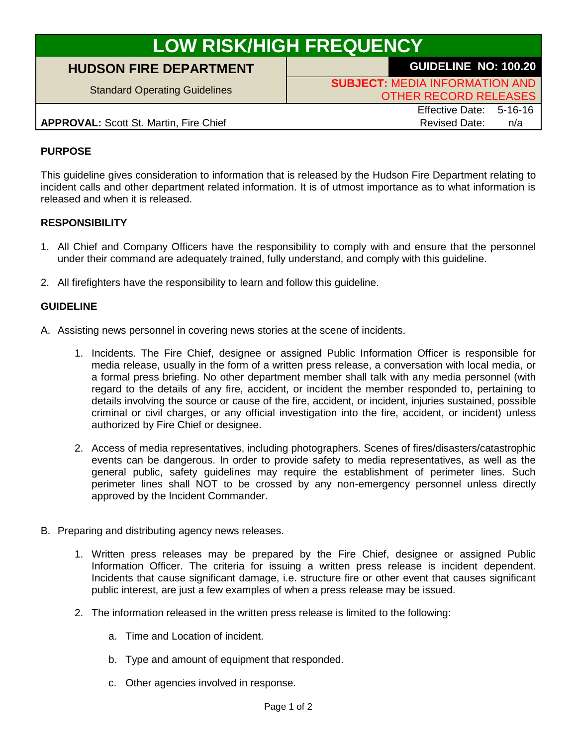# **LOW RISK/HIGH FREQUENCY**

## **HUDSON FIRE DEPARTMENT GUIDELINE NO: 100.20**

Standard Operating Guidelines **SUBJECT:** MEDIA INFORMATION AND OTHER RECORD RELEASES

**APPROVAL:** Scott St. Martin, Fire Chief Revised Date: n/a

Effective Date: 5-16-16

### **PURPOSE**

This guideline gives consideration to information that is released by the Hudson Fire Department relating to incident calls and other department related information. It is of utmost importance as to what information is released and when it is released.

#### **RESPONSIBILITY**

- 1. All Chief and Company Officers have the responsibility to comply with and ensure that the personnel under their command are adequately trained, fully understand, and comply with this guideline.
- 2. All firefighters have the responsibility to learn and follow this guideline.

#### **GUIDELINE**

- A. Assisting news personnel in covering news stories at the scene of incidents.
	- 1. Incidents. The Fire Chief, designee or assigned Public Information Officer is responsible for media release, usually in the form of a written press release, a conversation with local media, or a formal press briefing. No other department member shall talk with any media personnel (with regard to the details of any fire, accident, or incident the member responded to, pertaining to details involving the source or cause of the fire, accident, or incident, injuries sustained, possible criminal or civil charges, or any official investigation into the fire, accident, or incident) unless authorized by Fire Chief or designee.
	- 2. Access of media representatives, including photographers. Scenes of fires/disasters/catastrophic events can be dangerous. In order to provide safety to media representatives, as well as the general public, safety guidelines may require the establishment of perimeter lines. Such perimeter lines shall NOT to be crossed by any non-emergency personnel unless directly approved by the Incident Commander.
- B. Preparing and distributing agency news releases.
	- 1. Written press releases may be prepared by the Fire Chief, designee or assigned Public Information Officer. The criteria for issuing a written press release is incident dependent. Incidents that cause significant damage, i.e. structure fire or other event that causes significant public interest, are just a few examples of when a press release may be issued.
	- 2. The information released in the written press release is limited to the following:
		- a. Time and Location of incident.
		- b. Type and amount of equipment that responded.
		- c. Other agencies involved in response.